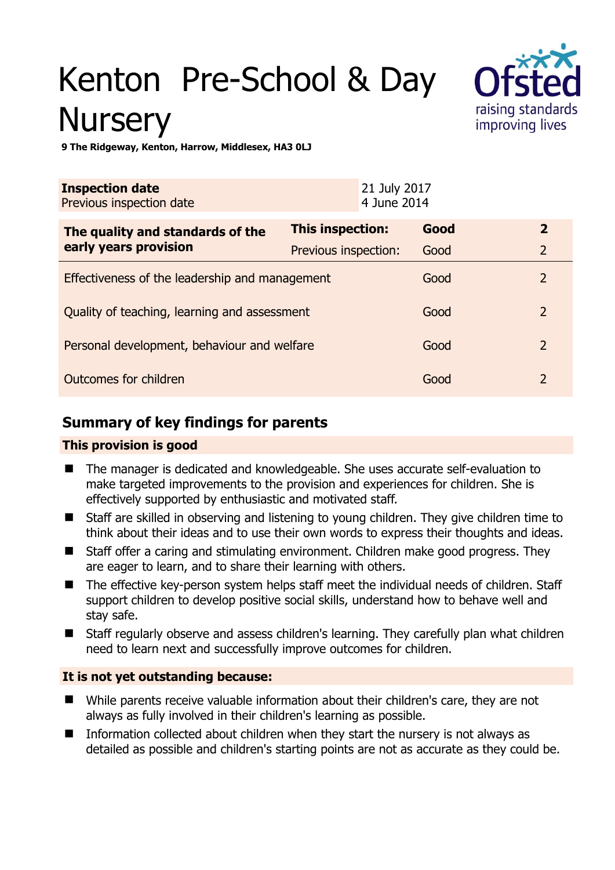# Kenton Pre-School & Day **Nursery**



**9 The Ridgeway, Kenton, Harrow, Middlesex, HA3 0LJ** 

| <b>Inspection date</b><br>Previous inspection date        |                      | 21 July 2017<br>4 June 2014 |      |                |
|-----------------------------------------------------------|----------------------|-----------------------------|------|----------------|
| The quality and standards of the<br>early years provision | This inspection:     |                             | Good | $\overline{2}$ |
|                                                           | Previous inspection: |                             | Good | $\overline{2}$ |
| Effectiveness of the leadership and management            |                      |                             | Good | $\overline{2}$ |
| Quality of teaching, learning and assessment              |                      |                             | Good | $\overline{2}$ |
| Personal development, behaviour and welfare               |                      |                             | Good | $\overline{2}$ |
| Outcomes for children                                     |                      |                             | Good | $\overline{2}$ |

# **Summary of key findings for parents**

## **This provision is good**

- The manager is dedicated and knowledgeable. She uses accurate self-evaluation to make targeted improvements to the provision and experiences for children. She is effectively supported by enthusiastic and motivated staff.
- Staff are skilled in observing and listening to young children. They give children time to think about their ideas and to use their own words to express their thoughts and ideas.
- Staff offer a caring and stimulating environment. Children make good progress. They are eager to learn, and to share their learning with others.
- The effective key-person system helps staff meet the individual needs of children. Staff support children to develop positive social skills, understand how to behave well and stay safe.
- Staff regularly observe and assess children's learning. They carefully plan what children need to learn next and successfully improve outcomes for children.

## **It is not yet outstanding because:**

- While parents receive valuable information about their children's care, they are not always as fully involved in their children's learning as possible.
- Information collected about children when they start the nursery is not always as detailed as possible and children's starting points are not as accurate as they could be.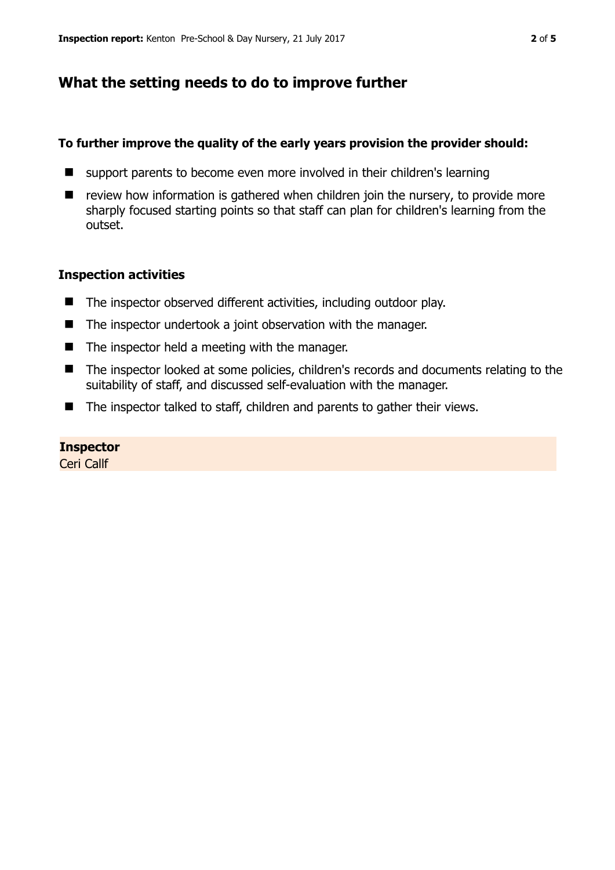## **What the setting needs to do to improve further**

#### **To further improve the quality of the early years provision the provider should:**

- support parents to become even more involved in their children's learning
- $\blacksquare$  review how information is gathered when children join the nursery, to provide more sharply focused starting points so that staff can plan for children's learning from the outset.

#### **Inspection activities**

- The inspector observed different activities, including outdoor play.
- The inspector undertook a joint observation with the manager.
- $\blacksquare$  The inspector held a meeting with the manager.
- The inspector looked at some policies, children's records and documents relating to the suitability of staff, and discussed self-evaluation with the manager.
- The inspector talked to staff, children and parents to gather their views.

#### **Inspector**

Ceri Callf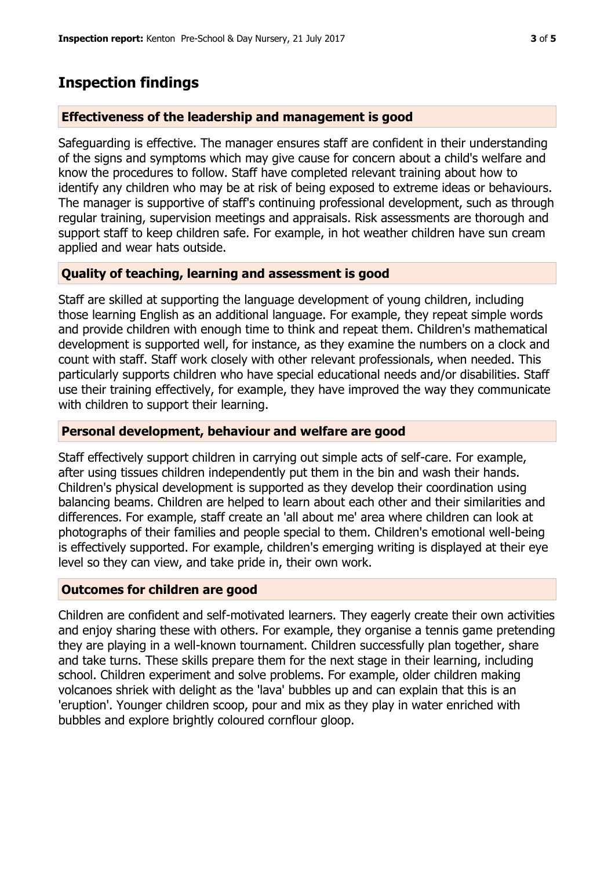## **Inspection findings**

#### **Effectiveness of the leadership and management is good**

Safeguarding is effective. The manager ensures staff are confident in their understanding of the signs and symptoms which may give cause for concern about a child's welfare and know the procedures to follow. Staff have completed relevant training about how to identify any children who may be at risk of being exposed to extreme ideas or behaviours. The manager is supportive of staff's continuing professional development, such as through regular training, supervision meetings and appraisals. Risk assessments are thorough and support staff to keep children safe. For example, in hot weather children have sun cream applied and wear hats outside.

## **Quality of teaching, learning and assessment is good**

Staff are skilled at supporting the language development of young children, including those learning English as an additional language. For example, they repeat simple words and provide children with enough time to think and repeat them. Children's mathematical development is supported well, for instance, as they examine the numbers on a clock and count with staff. Staff work closely with other relevant professionals, when needed. This particularly supports children who have special educational needs and/or disabilities. Staff use their training effectively, for example, they have improved the way they communicate with children to support their learning.

#### **Personal development, behaviour and welfare are good**

Staff effectively support children in carrying out simple acts of self-care. For example, after using tissues children independently put them in the bin and wash their hands. Children's physical development is supported as they develop their coordination using balancing beams. Children are helped to learn about each other and their similarities and differences. For example, staff create an 'all about me' area where children can look at photographs of their families and people special to them. Children's emotional well-being is effectively supported. For example, children's emerging writing is displayed at their eye level so they can view, and take pride in, their own work.

#### **Outcomes for children are good**

Children are confident and self-motivated learners. They eagerly create their own activities and enjoy sharing these with others. For example, they organise a tennis game pretending they are playing in a well-known tournament. Children successfully plan together, share and take turns. These skills prepare them for the next stage in their learning, including school. Children experiment and solve problems. For example, older children making volcanoes shriek with delight as the 'lava' bubbles up and can explain that this is an 'eruption'. Younger children scoop, pour and mix as they play in water enriched with bubbles and explore brightly coloured cornflour gloop.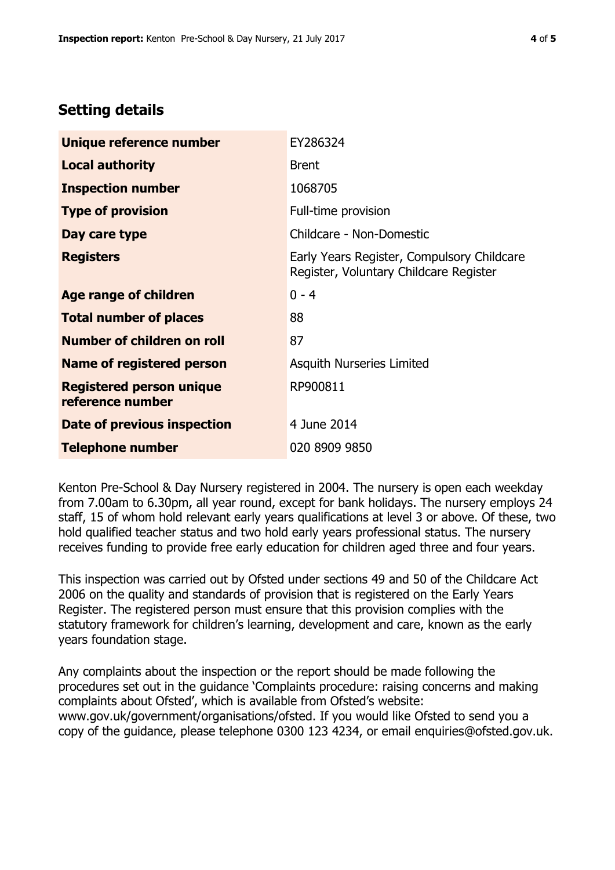# **Setting details**

| Unique reference number                             | EY286324                                                                             |  |
|-----------------------------------------------------|--------------------------------------------------------------------------------------|--|
| <b>Local authority</b>                              | <b>Brent</b>                                                                         |  |
| <b>Inspection number</b>                            | 1068705                                                                              |  |
| <b>Type of provision</b>                            | Full-time provision                                                                  |  |
| Day care type                                       | Childcare - Non-Domestic                                                             |  |
| <b>Registers</b>                                    | Early Years Register, Compulsory Childcare<br>Register, Voluntary Childcare Register |  |
| Age range of children                               | $0 - 4$                                                                              |  |
| <b>Total number of places</b>                       | 88                                                                                   |  |
| Number of children on roll                          | 87                                                                                   |  |
| <b>Name of registered person</b>                    | <b>Asquith Nurseries Limited</b>                                                     |  |
| <b>Registered person unique</b><br>reference number | RP900811                                                                             |  |
| Date of previous inspection                         | 4 June 2014                                                                          |  |
| <b>Telephone number</b>                             | 020 8909 9850                                                                        |  |

Kenton Pre-School & Day Nursery registered in 2004. The nursery is open each weekday from 7.00am to 6.30pm, all year round, except for bank holidays. The nursery employs 24 staff, 15 of whom hold relevant early years qualifications at level 3 or above. Of these, two hold qualified teacher status and two hold early years professional status. The nursery receives funding to provide free early education for children aged three and four years.

This inspection was carried out by Ofsted under sections 49 and 50 of the Childcare Act 2006 on the quality and standards of provision that is registered on the Early Years Register. The registered person must ensure that this provision complies with the statutory framework for children's learning, development and care, known as the early years foundation stage.

Any complaints about the inspection or the report should be made following the procedures set out in the guidance 'Complaints procedure: raising concerns and making complaints about Ofsted', which is available from Ofsted's website: www.gov.uk/government/organisations/ofsted. If you would like Ofsted to send you a copy of the guidance, please telephone 0300 123 4234, or email enquiries@ofsted.gov.uk.